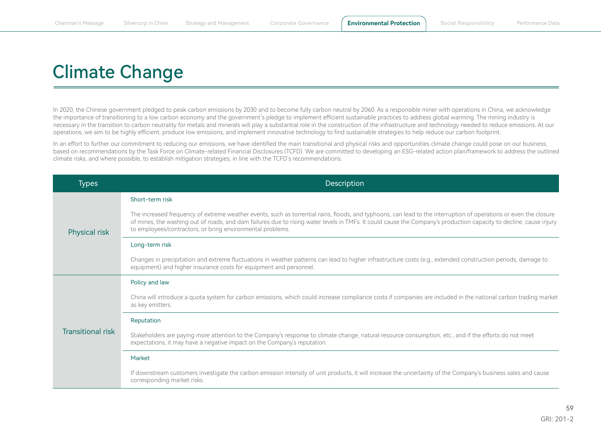# Climate Change

In 2020, the Chinese government pledged to peak carbon emissions by 2030 and to become fully carbon neutral by 2060. As a responsible miner with operations in China, we acknowledge the importance of transitioning to a low carbon economy and the government's pledge to implement efficient sustainable practices to address global warming. The mining industry is necessary in the transition to carbon neutrality for metals and minerals will play a substantial role in the construction of the infrastructure and technology needed to reduce emissions. At our operations, we aim to be highly efficient, produce low emissions, and implement innovative technology to find sustainable strategies to help reduce our carbon footprint.

In an effort to further our commitment to reducing our emissions, we have identified the main transitional and physical risks and opportunities climate change could pose on our business, based on recommendations by the Task Force on Climate-related Financial Disclosures (TCFD). We are committed to developing an ESG-related action plan/framework to address the outlined climate risks, and where possible, to establish mitigation strategies, in line with the TCFD's recommendations.

| Types                    | Description                                                                                                                                                                                                                                                                                                                                                                                           |
|--------------------------|-------------------------------------------------------------------------------------------------------------------------------------------------------------------------------------------------------------------------------------------------------------------------------------------------------------------------------------------------------------------------------------------------------|
| <b>Physical risk</b>     | Short-term risk                                                                                                                                                                                                                                                                                                                                                                                       |
|                          | The increased frequency of extreme weather events, such as torrential rains, floods, and typhoons, can lead to the interruption of operations or even the closure<br>of mines, the washing out of roads, and dam failures due to rising water levels in TMFs. It could cause the Company's production capacity to decline, cause injury<br>to employees/contractors, or bring environmental problems. |
|                          | Long-term risk                                                                                                                                                                                                                                                                                                                                                                                        |
|                          | Changes in precipitation and extreme fluctuations in weather patterns can lead to higher infrastructure costs (e.g., extended construction periods, damage to<br>equipment) and higher insurance costs for equipment and personnel.                                                                                                                                                                   |
| <b>Transitional risk</b> | Policy and law                                                                                                                                                                                                                                                                                                                                                                                        |
|                          | China will introduce a quota system for carbon emissions, which could increase compliance costs if companies are included in the national carbon trading market<br>as key emitters.                                                                                                                                                                                                                   |
|                          | Reputation                                                                                                                                                                                                                                                                                                                                                                                            |
|                          | Stakeholders are paying more attention to the Company's response to climate change, natural resource consumption, etc., and if the efforts do not meet<br>expectations, it may have a negative impact on the Company's reputation.                                                                                                                                                                    |
|                          | Market                                                                                                                                                                                                                                                                                                                                                                                                |
|                          | If downstream customers investigate the carbon emission intensity of unit products, it will increase the uncertainty of the Company's business sales and cause<br>corresponding market risks.                                                                                                                                                                                                         |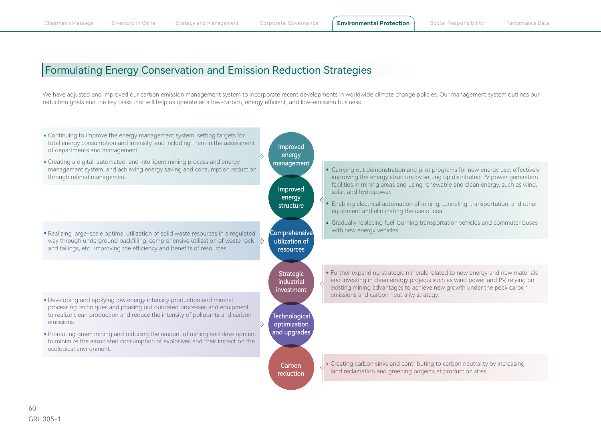## Formulating Energy Conservation and Emission Reduction Strategies

We have adjusted and improved our carbon emission management system to incorporate recent developments in worldwide climate change policies. Our management system outlines our reduction goals and the key tasks that will help us operate as a low-carbon, energy efficient, and low-emission business.

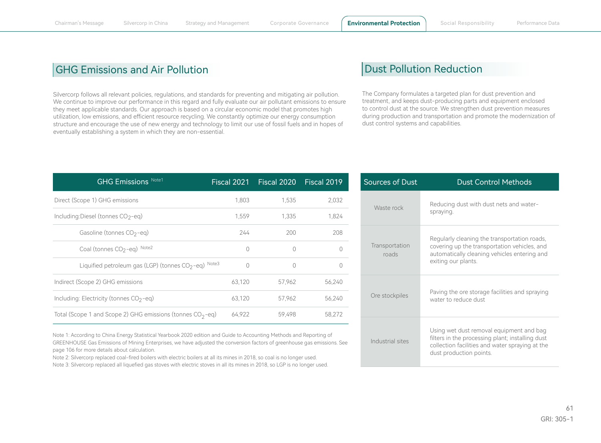### GHG Emissions and Air Pollution

Silvercorp follows all relevant policies, regulations, and standards for preventing and mitigating air pollution. We continue to improve our performance in this regard and fully evaluate our air pollutant emissions to ensure they meet applicable standards. Our approach is based on a circular economic model that promotes high utilization, low emissions, and efficient resource recycling. We constantly optimize our energy consumption structure and encourage the use of new energy and technology to limit our use of fossil fuels and in hopes of eventually establishing a system in which they are non-essential.

#### Dust Pollution Reduction

The Company formulates a targeted plan for dust prevention and treatment, and keeps dust-producing parts and equipment enclosed to control dust at the source. We strengthen dust prevention measures during production and transportation and promote the modernization of dust control systems and capabilities.

| <b>GHG Emissions Note1</b>                                    | Fiscal 2021 | Fiscal 2020   Fiscal 2019 |          |
|---------------------------------------------------------------|-------------|---------------------------|----------|
| Direct (Scope 1) GHG emissions                                | 1.803       | 1.535                     | 2,032    |
| Including:Diesel (tonnes CO2-eq)                              | 1.559       | 1.335                     | 1,824    |
| Gasoline (tonnes CO <sub>2-eq)</sub>                          | 244         | 200                       | 208      |
| Coal (tonnes CO <sub>2-eq)</sub> Note2                        | $\Omega$    | $\bigcap$                 | $\Omega$ |
| Liquified petroleum gas (LGP) (tonnes $CO2 - eq$ ) Note3      | $\bigcap$   | ∩                         | $\Omega$ |
| Indirect (Scope 2) GHG emissions                              | 63.120      | 57.962                    | 56.240   |
| Including: Electricity (tonnes $CO2 - eq$ )                   | 63,120      | 57.962                    | 56,240   |
| Total (Scope 1 and Scope 2) GHG emissions (tonnes $CO_2$ -eq) | 64,922      | 59,498                    | 58.272   |

Note 1: According to China Energy Statistical Yearbook 2020 edition and Guide to Accounting Methods and Reporting of GREENHOUSE Gas Emissions of Mining Enterprises, we have adjusted the conversion factors of greenhouse gas emissions. See page 106 for more details about calculation.

Note 2: Silvercorp replaced coal-fired boilers with electric boilers at all its mines in 2018, so coal is no longer used.

Note 3: Silvercorp replaced all liquefied gas stoves with electric stoves in all its mines in 2018, so LGP is no longer used.

| Sources of Dust         | <b>Dust Control Methods</b>                                                                                                                                                |
|-------------------------|----------------------------------------------------------------------------------------------------------------------------------------------------------------------------|
| Waste rock              | Reducing dust with dust nets and water-<br>spraying.                                                                                                                       |
| Transportation<br>roads | Regularly cleaning the transportation roads,<br>covering up the transportation vehicles, and<br>automatically cleaning vehicles entering and<br>exiting our plants.        |
| Ore stockpiles          | Paving the ore storage facilities and spraying<br>water to reduce dust                                                                                                     |
| Industrial sites        | Using wet dust removal equipment and bag<br>filters in the processing plant; installing dust<br>collection facilities and water spraying at the<br>dust production points. |